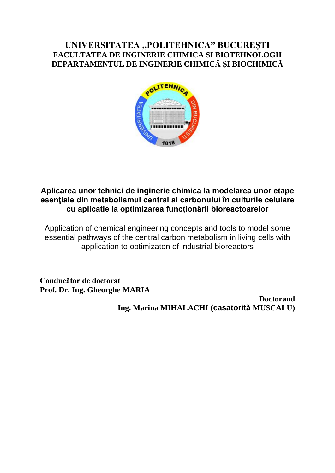### **UNIVERSITATEA "POLITEHNICA" BUCUREŞTI FACULTATEA DE INGINERIE CHIMICA SI BIOTEHNOLOGII DEPARTAMENTUL DE INGINERIE CHIMICĂ ŞI BIOCHIMICĂ**



### **Aplicarea unor tehnici de inginerie chimica la modelarea unor etape esenţiale din metabolismul central al carbonului în culturile celulare cu aplicatie la optimizarea funcţionării bioreactoarelor**

Application of chemical engineering concepts and tools to model some essential pathways of the central carbon metabolism in living cells with application to optimizaton of industrial bioreactors

**Conducător de doctorat Prof. Dr. Ing. Gheorghe MARIA** 

> **Doctorand Ing. Marina MIHALACHI (casatorită MUSCALU)**